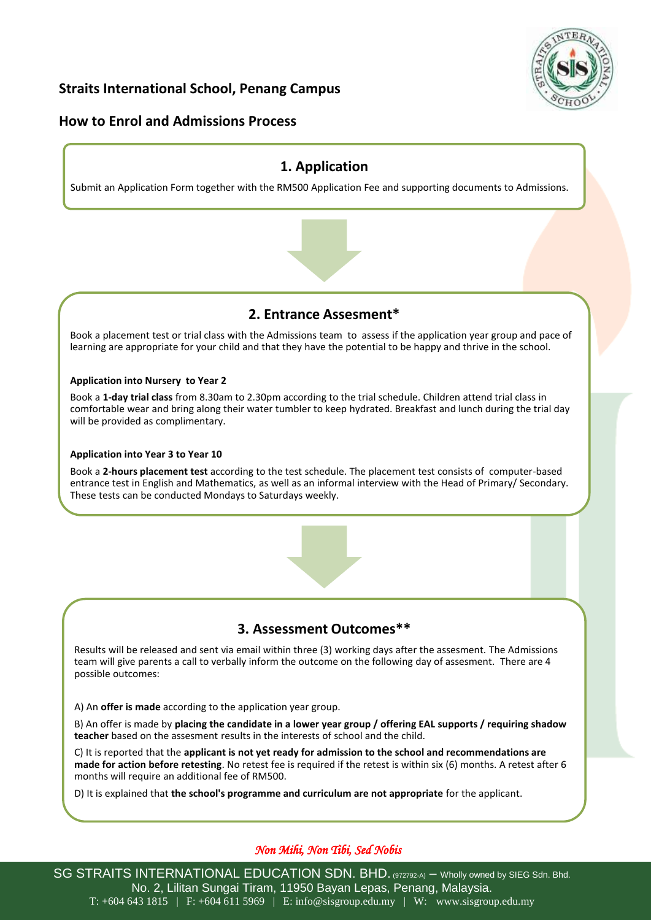

## **Straits International School, Penang Campus**

## **How to Enrol and Admissions Process**

## **1. Application**

Submit an Application Form together with the RM500 Application Fee and supporting documents to Admissions.



## **2. Entrance Assesment\***

Book a placement test or trial class with the Admissions team to assess if the application year group and pace of learning are appropriate for your child and that they have the potential to be happy and thrive in the school.

#### **Application into Nursery to Year 2**

Book a **1-day trial class** from 8.30am to 2.30pm according to the trial schedule. Children attend trial class in comfortable wear and bring along their water tumbler to keep hydrated. Breakfast and lunch during the trial day will be provided as complimentary.

#### **Application into Year 3 to Year 10**

Book a **2-hours placement test** according to the test schedule. The placement test consists of computer-based entrance test in English and Mathematics, as well as an informal interview with the Head of Primary/ Secondary. These tests can be conducted Mondays to Saturdays weekly.



# **3. Assessment Outcomes\*\***

Results will be released and sent via email within three (3) working days after the assesment. The Admissions team will give parents a call to verbally inform the outcome on the following day of assesment. There are 4 possible outcomes:

A) An **offer is made** according to the application year group.

B) An offer is made by **placing the candidate in a lower year group / offering EAL supports / requiring shadow teacher** based on the assesment results in the interests of school and the child.

C) It is reported that the **applicant is not yet ready for admission to the school and recommendations are made for action before retesting**. No retest fee is required if the retest is within six (6) months. A retest after 6 months will require an additional fee of RM500.

D) It is explained that **the school's programme and curriculum are not appropriate** for the applicant.

## *Non Mihi, Non Tibi, Sed Nobis*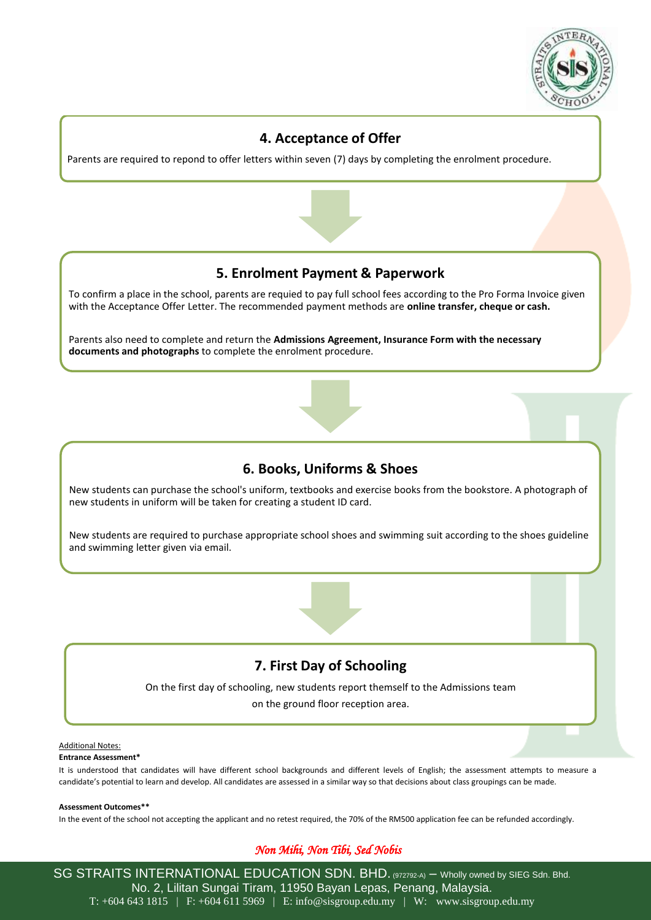

## **4. Acceptance of Offer**

Parents are required to repond to offer letters within seven (7) days by completing the enrolment procedure.



## **5. Enrolment Payment & Paperwork**

To confirm a place in the school, parents are requied to pay full school fees according to the Pro Forma Invoice given with the Acceptance Offer Letter. The recommended payment methods are **online transfer, cheque or cash.** 

Parents also need to complete and return the **Admissions Agreement, Insurance Form with the necessary documents and photographs** to complete the enrolment procedure.



# **6. Books, Uniforms & Shoes**

New students can purchase the school's uniform, textbooks and exercise books from the bookstore. A photograph of new students in uniform will be taken for creating a student ID card.

New students are required to purchase appropriate school shoes and swimming suit according to the shoes guideline and swimming letter given via email.



## **7. First Day of Schooling**

On the first day of schooling, new students report themself to the Admissions team on the ground floor reception area.

#### Additional Notes:

#### **Entrance Assessment\***

It is understood that candidates will have different school backgrounds and different levels of English; the assessment attempts to measure a candidate's potential to learn and develop. All candidates are assessed in a similar way so that decisions about class groupings can be made.

#### **Assessment Outcomes\*\***

In the event of the school not accepting the applicant and no retest required, the 70% of the RM500 application fee can be refunded accordingly.

#### *Non Mihi, Non Tibi, Sed Nobis*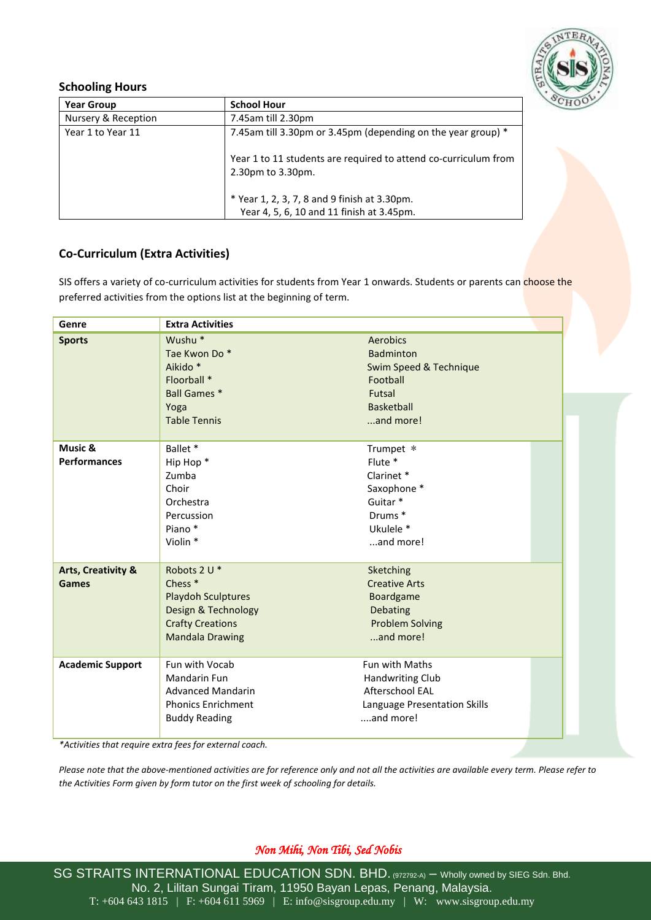

### **Schooling Hours**

| <b>Year Group</b>   | <b>School Hour</b>                                                                   |
|---------------------|--------------------------------------------------------------------------------------|
| Nursery & Reception | 7.45am till 2.30pm                                                                   |
| Year 1 to Year 11   | 7.45am till 3.30pm or 3.45pm (depending on the year group) *                         |
|                     | Year 1 to 11 students are required to attend co-curriculum from<br>2.30pm to 3.30pm. |
|                     | * Year 1, 2, 3, 7, 8 and 9 finish at 3.30pm.                                         |
|                     | Year 4, 5, 6, 10 and 11 finish at 3.45pm.                                            |

## **Co-Curriculum (Extra Activities)**

SIS offers a variety of co-curriculum activities for students from Year 1 onwards. Students or parents can choose the preferred activities from the options list at the beginning of term.

| Genre                                         | <b>Extra Activities</b>                                                                                                                     |                                                                                                             |
|-----------------------------------------------|---------------------------------------------------------------------------------------------------------------------------------------------|-------------------------------------------------------------------------------------------------------------|
| <b>Sports</b>                                 | Wushu <sup>*</sup><br>Tae Kwon Do*<br>Aikido <sup>*</sup><br>Floorball *<br><b>Ball Games *</b><br>Yoga<br><b>Table Tennis</b>              | Aerobics<br>Badminton<br>Swim Speed & Technique<br>Football<br>Futsal<br><b>Basketball</b><br>and more!     |
| Music &<br><b>Performances</b>                | Ballet *<br>Hip Hop <sup>*</sup><br>Zumba<br>Choir<br>Orchestra<br>Percussion<br>Piano*<br>Violin *                                         | Trumpet *<br>Flute *<br>Clarinet*<br>Saxophone *<br>Guitar <sup>*</sup><br>Drums*<br>Ukulele *<br>and more! |
| <b>Arts, Creativity &amp;</b><br><b>Games</b> | Robots 2 U *<br>Chess <sup>*</sup><br><b>Playdoh Sculptures</b><br>Design & Technology<br><b>Crafty Creations</b><br><b>Mandala Drawing</b> | Sketching<br><b>Creative Arts</b><br>Boardgame<br>Debating<br><b>Problem Solving</b><br>and more!           |
| <b>Academic Support</b>                       | Fun with Vocab<br>Mandarin Fun<br><b>Advanced Mandarin</b><br><b>Phonics Enrichment</b><br><b>Buddy Reading</b>                             | Fun with Maths<br><b>Handwriting Club</b><br>Afterschool EAL<br>Language Presentation Skills<br>and more!   |

*\*Activities that require extra fees for external coach.*

*Please note that the above-mentioned activities are for reference only and not all the activities are available every term. Please refer to the Activities Form given by form tutor on the first week of schooling for details.*

## *Non Mihi, Non Tibi, Sed Nobis*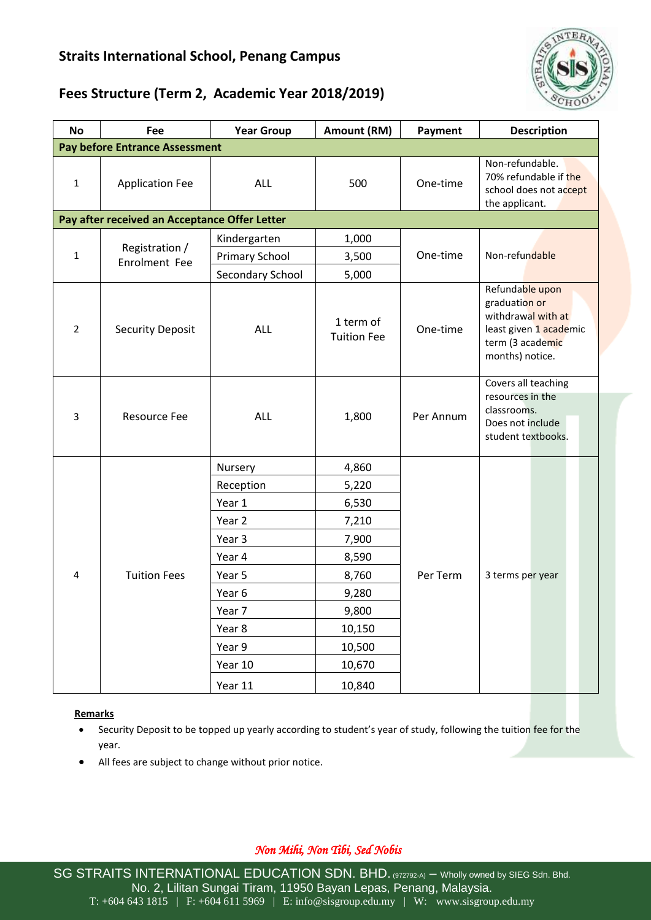# **Straits International School, Penang Campus**



# **Fees Structure (Term 2, Academic Year 2018/2019)**

| <b>No</b>                                     | Fee                             | <b>Year Group</b>     | Amount (RM)                     | Payment   | <b>Description</b>                                                                                                      |  |  |  |
|-----------------------------------------------|---------------------------------|-----------------------|---------------------------------|-----------|-------------------------------------------------------------------------------------------------------------------------|--|--|--|
| <b>Pay before Entrance Assessment</b>         |                                 |                       |                                 |           |                                                                                                                         |  |  |  |
| $\mathbf{1}$                                  | <b>Application Fee</b>          | <b>ALL</b>            | 500                             | One-time  | Non-refundable.<br>70% refundable if the<br>school does not accept<br>the applicant.                                    |  |  |  |
| Pay after received an Acceptance Offer Letter |                                 |                       |                                 |           |                                                                                                                         |  |  |  |
| $\mathbf{1}$                                  | Registration /<br>Enrolment Fee | Kindergarten          | 1,000                           |           | Non-refundable                                                                                                          |  |  |  |
|                                               |                                 | <b>Primary School</b> | 3,500                           | One-time  |                                                                                                                         |  |  |  |
|                                               |                                 | Secondary School      | 5,000                           |           |                                                                                                                         |  |  |  |
| $\overline{2}$                                | <b>Security Deposit</b>         | <b>ALL</b>            | 1 term of<br><b>Tuition Fee</b> | One-time  | Refundable upon<br>graduation or<br>withdrawal with at<br>least given 1 academic<br>term (3 academic<br>months) notice. |  |  |  |
| 3                                             | Resource Fee                    | <b>ALL</b>            | 1,800                           | Per Annum | Covers all teaching<br>resources in the<br>classrooms.<br>Does not include<br>student textbooks.                        |  |  |  |
| $\pmb{4}$                                     | <b>Tuition Fees</b>             | Nursery               | 4,860                           | Per Term  | 3 terms per year                                                                                                        |  |  |  |
|                                               |                                 | Reception             | 5,220                           |           |                                                                                                                         |  |  |  |
|                                               |                                 | Year 1                | 6,530                           |           |                                                                                                                         |  |  |  |
|                                               |                                 | Year 2                | 7,210                           |           |                                                                                                                         |  |  |  |
|                                               |                                 | Year 3                | 7,900                           |           |                                                                                                                         |  |  |  |
|                                               |                                 | Year 4                | 8,590                           |           |                                                                                                                         |  |  |  |
|                                               |                                 | Year 5                | 8,760                           |           |                                                                                                                         |  |  |  |
|                                               |                                 | Year 6                | 9,280                           |           |                                                                                                                         |  |  |  |
|                                               |                                 | Year 7                | 9,800                           |           |                                                                                                                         |  |  |  |
|                                               |                                 | Year 8                | 10,150                          |           |                                                                                                                         |  |  |  |
|                                               |                                 | Year 9                | 10,500                          |           |                                                                                                                         |  |  |  |
|                                               |                                 | Year 10               | 10,670                          |           |                                                                                                                         |  |  |  |
|                                               |                                 | Year 11               | 10,840                          |           |                                                                                                                         |  |  |  |

#### **Remarks**

- Security Deposit to be topped up yearly according to student's year of study, following the tuition fee for the year.
- All fees are subject to change without prior notice.

## *Non Mihi, Non Tibi, Sed Nobis*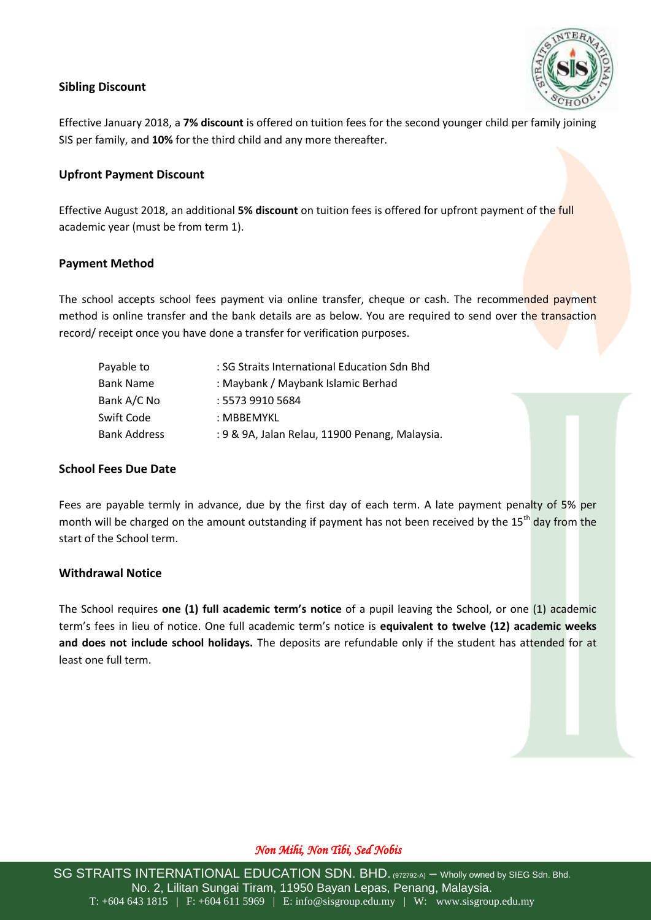## **Sibling Discount**

Effective January 2018, a **7% discount** is offered on tuition fees for the second younger child per family joining SIS per family, and **10%** for the third child and any more thereafter.

### **Upfront Payment Discount**

Effective August 2018, an additional **5% discount** on tuition fees is offered for upfront payment of the full academic year (must be from term 1).

### **Payment Method**

The school accepts school fees payment via online transfer, cheque or cash. The recommended payment method is online transfer and the bank details are as below. You are required to send over the transaction record/ receipt once you have done a transfer for verification purposes.

| : SG Straits International Education Sdn Bhd   |
|------------------------------------------------|
| : Maybank / Maybank Islamic Berhad             |
| : 5573 9910 5684                               |
| : MBBFMYKL                                     |
| : 9 & 9A, Jalan Relau, 11900 Penang, Malaysia. |
|                                                |

#### **School Fees Due Date**

Fees are payable termly in advance, due by the first day of each term. A late payment penalty of 5% per month will be charged on the amount outstanding if payment has not been received by the 15<sup>th</sup> day from the start of the School term.

#### **Withdrawal Notice**

The School requires **one (1) full academic term's notice** of a pupil leaving the School, or one (1) academic term's fees in lieu of notice. One full academic term's notice is **equivalent to twelve (12) academic weeks and does not include school holidays.** The deposits are refundable only if the student has attended for at least one full term.

#### *Non Mihi, Non Tibi, Sed Nobis*